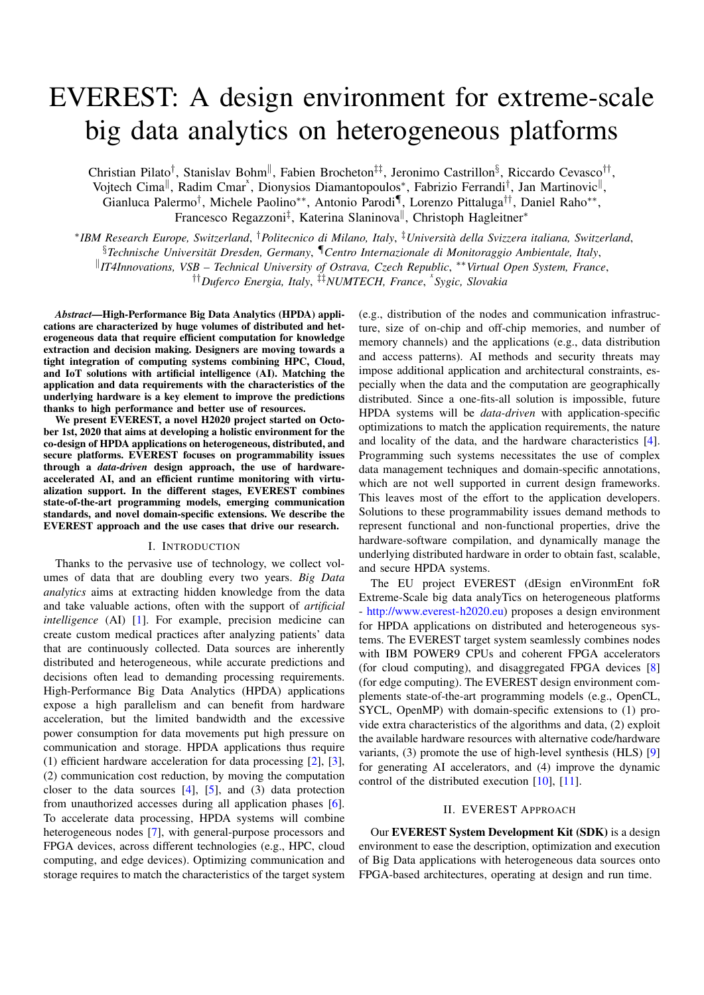# EVEREST: A design environment for extreme-scale big data analytics on heterogeneous platforms

Christian Pilato<sup>†</sup>, Stanislav Bohm<sup>||</sup>, Fabien Brocheton<sup>‡‡</sup>, Jeronimo Castrillon<sup>§</sup>, Riccardo Cevasco<sup>††</sup>, Vojtech Cima<sup>||</sup>, Radim Cmar<sup>x</sup>, Dionysios Diamantopoulos<sup>\*</sup>, Fabrizio Ferrandi<sup>†</sup>, Jan Martinovic<sup>||</sup>, Gianluca Palermo<sup>†</sup>, Michele Paolino<sup>∗∗</sup>, Antonio Parodi<sup>¶</sup>, Lorenzo Pittaluga<sup>††</sup>, Daniel Raho<sup>∗∗</sup>, Francesco Regazzoni<sup>‡</sup>, Katerina Slaninova<sup>||</sup>, Christoph Hagleitner<sup>\*</sup>

∗ *IBM Research Europe, Switzerland*, †*Politecnico di Milano, Italy*, ‡*Universita della Svizzera italiana, Switzerland `* , §*Technische Universitat Dresden, Germany ¨* , ¶*Centro Internazionale di Monitoraggio Ambientale, Italy*, k *IT4Innovations, VSB – Technical University of Ostrava, Czech Republic*, ∗∗*Virtual Open System, France*, ††*Duferco Energia, Italy*, ‡‡*NUMTECH, France*, *x Sygic, Slovakia*

*Abstract*—High-Performance Big Data Analytics (HPDA) applications are characterized by huge volumes of distributed and heterogeneous data that require efficient computation for knowledge extraction and decision making. Designers are moving towards a tight integration of computing systems combining HPC, Cloud, and IoT solutions with artificial intelligence (AI). Matching the application and data requirements with the characteristics of the underlying hardware is a key element to improve the predictions thanks to high performance and better use of resources.

We present EVEREST, a novel H2020 project started on October 1st, 2020 that aims at developing a holistic environment for the co-design of HPDA applications on heterogeneous, distributed, and secure platforms. EVEREST focuses on programmability issues through a *data-driven* design approach, the use of hardwareaccelerated AI, and an efficient runtime monitoring with virtualization support. In the different stages, EVEREST combines state-of-the-art programming models, emerging communication standards, and novel domain-specific extensions. We describe the EVEREST approach and the use cases that drive our research.

## I. INTRODUCTION

Thanks to the pervasive use of technology, we collect volumes of data that are doubling every two years. *Big Data analytics* aims at extracting hidden knowledge from the data and take valuable actions, often with the support of *artificial intelligence* (AI) [\[1\]](#page-5-0). For example, precision medicine can create custom medical practices after analyzing patients' data that are continuously collected. Data sources are inherently distributed and heterogeneous, while accurate predictions and decisions often lead to demanding processing requirements. High-Performance Big Data Analytics (HPDA) applications expose a high parallelism and can benefit from hardware acceleration, but the limited bandwidth and the excessive power consumption for data movements put high pressure on communication and storage. HPDA applications thus require (1) efficient hardware acceleration for data processing [\[2\]](#page-5-1), [\[3\]](#page-5-2), (2) communication cost reduction, by moving the computation closer to the data sources  $[4]$ ,  $[5]$ , and  $(3)$  data protection from unauthorized accesses during all application phases [\[6\]](#page-5-5). To accelerate data processing, HPDA systems will combine heterogeneous nodes [\[7\]](#page-5-6), with general-purpose processors and FPGA devices, across different technologies (e.g., HPC, cloud computing, and edge devices). Optimizing communication and storage requires to match the characteristics of the target system

(e.g., distribution of the nodes and communication infrastructure, size of on-chip and off-chip memories, and number of memory channels) and the applications (e.g., data distribution and access patterns). AI methods and security threats may impose additional application and architectural constraints, especially when the data and the computation are geographically distributed. Since a one-fits-all solution is impossible, future HPDA systems will be *data-driven* with application-specific optimizations to match the application requirements, the nature and locality of the data, and the hardware characteristics [\[4\]](#page-5-3). Programming such systems necessitates the use of complex data management techniques and domain-specific annotations, which are not well supported in current design frameworks. This leaves most of the effort to the application developers. Solutions to these programmability issues demand methods to represent functional and non-functional properties, drive the hardware-software compilation, and dynamically manage the underlying distributed hardware in order to obtain fast, scalable, and secure HPDA systems.

The EU project EVEREST (dEsign enVironmEnt foR Extreme-Scale big data analyTics on heterogeneous platforms - [http://www.everest-h2020.eu\)](http://www.everest-h2020.eu) proposes a design environment for HPDA applications on distributed and heterogeneous systems. The EVEREST target system seamlessly combines nodes with IBM POWER9 CPUs and coherent FPGA accelerators (for cloud computing), and disaggregated FPGA devices [\[8\]](#page-5-7) (for edge computing). The EVEREST design environment complements state-of-the-art programming models (e.g., OpenCL, SYCL, OpenMP) with domain-specific extensions to (1) provide extra characteristics of the algorithms and data, (2) exploit the available hardware resources with alternative code/hardware variants, (3) promote the use of high-level synthesis (HLS) [\[9\]](#page-5-8) for generating AI accelerators, and (4) improve the dynamic control of the distributed execution [\[10\]](#page-5-9), [\[11\]](#page-5-10).

# II. EVEREST APPROACH

Our EVEREST System Development Kit (SDK) is a design environment to ease the description, optimization and execution of Big Data applications with heterogeneous data sources onto FPGA-based architectures, operating at design and run time.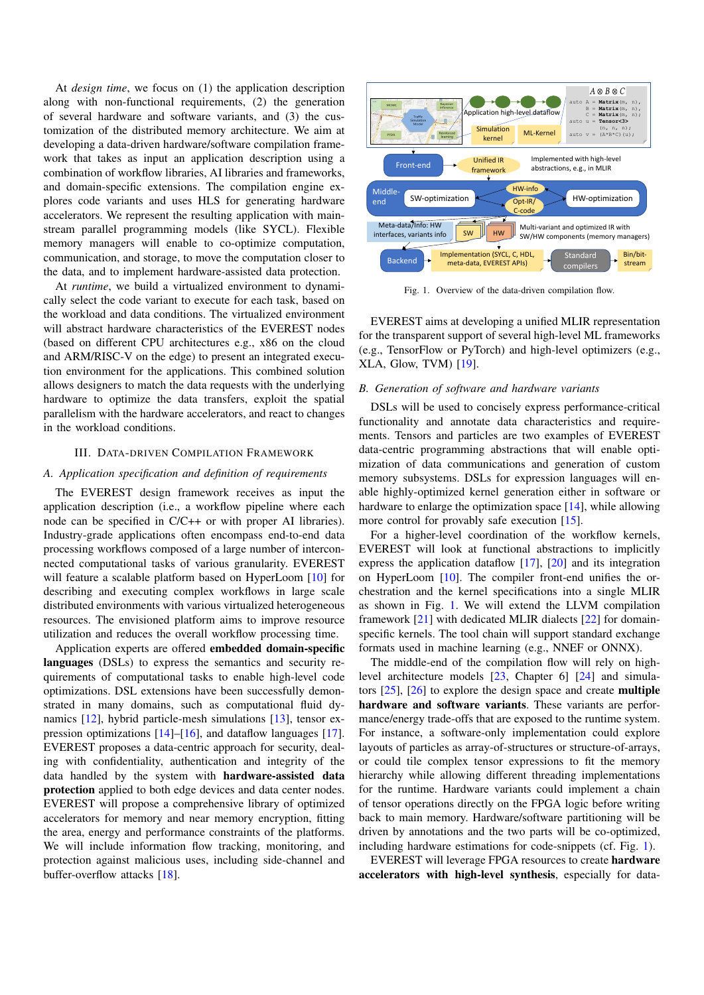At *design time*, we focus on (1) the application description along with non-functional requirements, (2) the generation of several hardware and software variants, and (3) the customization of the distributed memory architecture. We aim at developing a data-driven hardware/software compilation framework that takes as input an application description using a combination of workflow libraries, AI libraries and frameworks, and domain-specific extensions. The compilation engine explores code variants and uses HLS for generating hardware accelerators. We represent the resulting application with mainstream parallel programming models (like SYCL). Flexible memory managers will enable to co-optimize computation, communication, and storage, to move the computation closer to the data, and to implement hardware-assisted data protection.

At *runtime*, we build a virtualized environment to dynamically select the code variant to execute for each task, based on the workload and data conditions. The virtualized environment will abstract hardware characteristics of the EVEREST nodes (based on different CPU architectures e.g., x86 on the cloud and ARM/RISC-V on the edge) to present an integrated execution environment for the applications. This combined solution allows designers to match the data requests with the underlying hardware to optimize the data transfers, exploit the spatial parallelism with the hardware accelerators, and react to changes in the workload conditions.

#### III. DATA-DRIVEN COMPILATION FRAMEWORK

### <span id="page-1-1"></span>*A. Application specification and definition of requirements*

The EVEREST design framework receives as input the application description (i.e., a workflow pipeline where each node can be specified in C/C++ or with proper AI libraries). Industry-grade applications often encompass end-to-end data processing workflows composed of a large number of interconnected computational tasks of various granularity. EVEREST will feature a scalable platform based on HyperLoom [\[10\]](#page-5-9) for describing and executing complex workflows in large scale distributed environments with various virtualized heterogeneous resources. The envisioned platform aims to improve resource utilization and reduces the overall workflow processing time.

Application experts are offered embedded domain-specific languages (DSLs) to express the semantics and security requirements of computational tasks to enable high-level code optimizations. DSL extensions have been successfully demonstrated in many domains, such as computational fluid dy-namics [\[12\]](#page-5-11), hybrid particle-mesh simulations [\[13\]](#page-5-12), tensor expression optimizations [\[14\]](#page-5-13)–[\[16\]](#page-5-14), and dataflow languages [\[17\]](#page-5-15). EVEREST proposes a data-centric approach for security, dealing with confidentiality, authentication and integrity of the data handled by the system with hardware-assisted data protection applied to both edge devices and data center nodes. EVEREST will propose a comprehensive library of optimized accelerators for memory and near memory encryption, fitting the area, energy and performance constraints of the platforms. We will include information flow tracking, monitoring, and protection against malicious uses, including side-channel and buffer-overflow attacks [\[18\]](#page-5-16).



<span id="page-1-0"></span>Fig. 1. Overview of the data-driven compilation flow.

EVEREST aims at developing a unified MLIR representation for the transparent support of several high-level ML frameworks (e.g., TensorFlow or PyTorch) and high-level optimizers (e.g., XLA, Glow, TVM) [\[19\]](#page-5-17).

## *B. Generation of software and hardware variants*

DSLs will be used to concisely express performance-critical functionality and annotate data characteristics and requirements. Tensors and particles are two examples of EVEREST data-centric programming abstractions that will enable optimization of data communications and generation of custom memory subsystems. DSLs for expression languages will enable highly-optimized kernel generation either in software or hardware to enlarge the optimization space [\[14\]](#page-5-13), while allowing more control for provably safe execution [\[15\]](#page-5-18).

For a higher-level coordination of the workflow kernels, EVEREST will look at functional abstractions to implicitly express the application dataflow [\[17\]](#page-5-15), [\[20\]](#page-5-19) and its integration on HyperLoom [\[10\]](#page-5-9). The compiler front-end unifies the orchestration and the kernel specifications into a single MLIR as shown in Fig. [1.](#page-1-0) We will extend the LLVM compilation framework [\[21\]](#page-5-20) with dedicated MLIR dialects [\[22\]](#page-5-21) for domainspecific kernels. The tool chain will support standard exchange formats used in machine learning (e.g., NNEF or ONNX).

The middle-end of the compilation flow will rely on highlevel architecture models [\[23,](#page-5-22) Chapter 6] [\[24\]](#page-5-23) and simulators [\[25\]](#page-5-24), [\[26\]](#page-5-25) to explore the design space and create multiple hardware and software variants. These variants are performance/energy trade-offs that are exposed to the runtime system. For instance, a software-only implementation could explore layouts of particles as array-of-structures or structure-of-arrays, or could tile complex tensor expressions to fit the memory hierarchy while allowing different threading implementations for the runtime. Hardware variants could implement a chain of tensor operations directly on the FPGA logic before writing back to main memory. Hardware/software partitioning will be driven by annotations and the two parts will be co-optimized, including hardware estimations for code-snippets (cf. Fig. [1\)](#page-1-0).

EVEREST will leverage FPGA resources to create hardware accelerators with high-level synthesis, especially for data-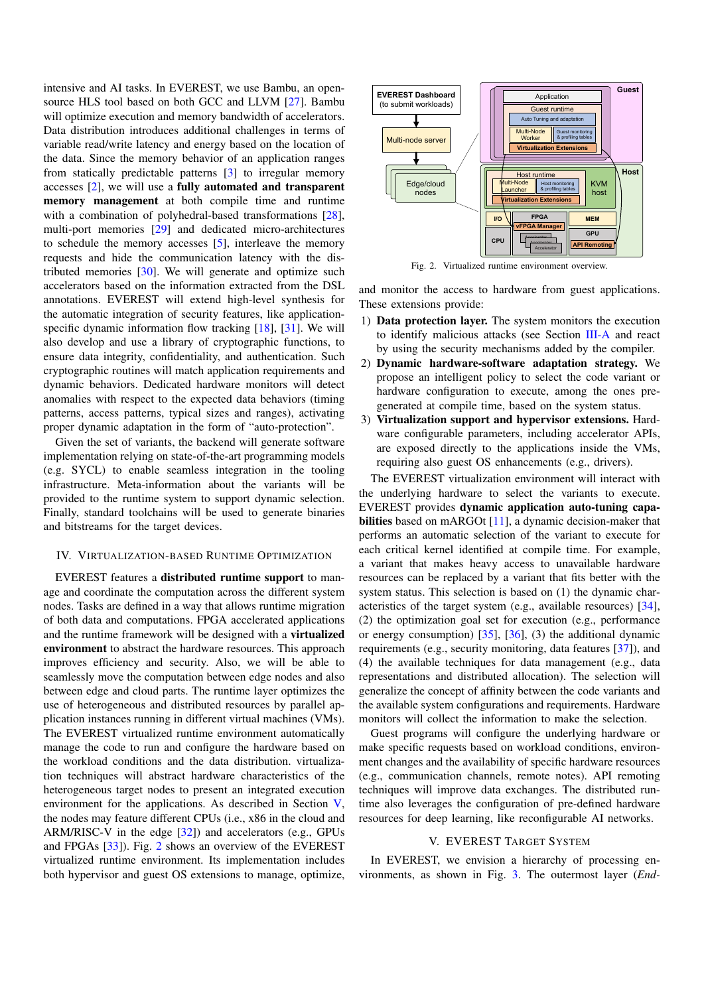intensive and AI tasks. In EVEREST, we use Bambu, an opensource HLS tool based on both GCC and LLVM [\[27\]](#page-5-26). Bambu will optimize execution and memory bandwidth of accelerators. Data distribution introduces additional challenges in terms of variable read/write latency and energy based on the location of the data. Since the memory behavior of an application ranges from statically predictable patterns [\[3\]](#page-5-2) to irregular memory accesses [\[2\]](#page-5-1), we will use a fully automated and transparent memory management at both compile time and runtime with a combination of polyhedral-based transformations [\[28\]](#page-5-27), multi-port memories [\[29\]](#page-5-28) and dedicated micro-architectures to schedule the memory accesses [\[5\]](#page-5-4), interleave the memory requests and hide the communication latency with the distributed memories [\[30\]](#page-5-29). We will generate and optimize such accelerators based on the information extracted from the DSL annotations. EVEREST will extend high-level synthesis for the automatic integration of security features, like application-specific dynamic information flow tracking [\[18\]](#page-5-16), [\[31\]](#page-5-30). We will also develop and use a library of cryptographic functions, to ensure data integrity, confidentiality, and authentication. Such cryptographic routines will match application requirements and dynamic behaviors. Dedicated hardware monitors will detect anomalies with respect to the expected data behaviors (timing patterns, access patterns, typical sizes and ranges), activating proper dynamic adaptation in the form of "auto-protection".

Given the set of variants, the backend will generate software implementation relying on state-of-the-art programming models (e.g. SYCL) to enable seamless integration in the tooling infrastructure. Meta-information about the variants will be provided to the runtime system to support dynamic selection. Finally, standard toolchains will be used to generate binaries and bitstreams for the target devices.

# IV. VIRTUALIZATION-BASED RUNTIME OPTIMIZATION

EVEREST features a distributed runtime support to manage and coordinate the computation across the different system nodes. Tasks are defined in a way that allows runtime migration of both data and computations. FPGA accelerated applications and the runtime framework will be designed with a virtualized environment to abstract the hardware resources. This approach improves efficiency and security. Also, we will be able to seamlessly move the computation between edge nodes and also between edge and cloud parts. The runtime layer optimizes the use of heterogeneous and distributed resources by parallel application instances running in different virtual machines (VMs). The EVEREST virtualized runtime environment automatically manage the code to run and configure the hardware based on the workload conditions and the data distribution. virtualization techniques will abstract hardware characteristics of the heterogeneous target nodes to present an integrated execution environment for the applications. As described in Section [V,](#page-2-0) the nodes may feature different CPUs (i.e., x86 in the cloud and ARM/RISC-V in the edge [\[32\]](#page-5-31)) and accelerators (e.g., GPUs and FPGAs [\[33\]](#page-5-32)). Fig. [2](#page-2-1) shows an overview of the EVEREST virtualized runtime environment. Its implementation includes both hypervisor and guest OS extensions to manage, optimize,



<span id="page-2-1"></span>Fig. 2. Virtualized runtime environment overview.

and monitor the access to hardware from guest applications. These extensions provide:

- 1) Data protection layer. The system monitors the execution to identify malicious attacks (see Section [III-A](#page-1-1) and react by using the security mechanisms added by the compiler.
- 2) Dynamic hardware-software adaptation strategy. We propose an intelligent policy to select the code variant or hardware configuration to execute, among the ones pregenerated at compile time, based on the system status.
- 3) Virtualization support and hypervisor extensions. Hardware configurable parameters, including accelerator APIs, are exposed directly to the applications inside the VMs, requiring also guest OS enhancements (e.g., drivers).

The EVEREST virtualization environment will interact with the underlying hardware to select the variants to execute. EVEREST provides dynamic application auto-tuning capa-bilities based on mARGOt [\[11\]](#page-5-10), a dynamic decision-maker that performs an automatic selection of the variant to execute for each critical kernel identified at compile time. For example, a variant that makes heavy access to unavailable hardware resources can be replaced by a variant that fits better with the system status. This selection is based on (1) the dynamic characteristics of the target system (e.g., available resources) [\[34\]](#page-5-33), (2) the optimization goal set for execution (e.g., performance or energy consumption) [\[35\]](#page-5-34), [\[36\]](#page-5-35), (3) the additional dynamic requirements (e.g., security monitoring, data features [\[37\]](#page-5-36)), and (4) the available techniques for data management (e.g., data representations and distributed allocation). The selection will generalize the concept of affinity between the code variants and the available system configurations and requirements. Hardware monitors will collect the information to make the selection.

Guest programs will configure the underlying hardware or make specific requests based on workload conditions, environment changes and the availability of specific hardware resources (e.g., communication channels, remote notes). API remoting techniques will improve data exchanges. The distributed runtime also leverages the configuration of pre-defined hardware resources for deep learning, like reconfigurable AI networks.

## V. EVEREST TARGET SYSTEM

<span id="page-2-0"></span>In EVEREST, we envision a hierarchy of processing environments, as shown in Fig. [3.](#page-3-0) The outermost layer (*End-*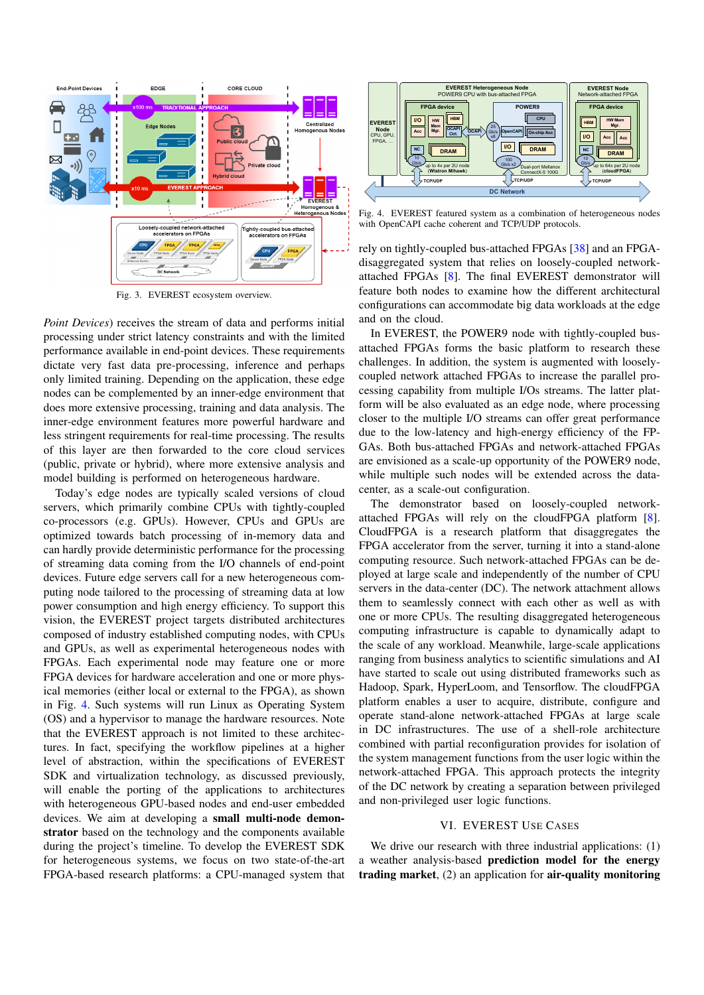

<span id="page-3-0"></span>Fig. 3. EVEREST ecosystem overview.

*Point Devices*) receives the stream of data and performs initial processing under strict latency constraints and with the limited performance available in end-point devices. These requirements dictate very fast data pre-processing, inference and perhaps only limited training. Depending on the application, these edge nodes can be complemented by an inner-edge environment that does more extensive processing, training and data analysis. The inner-edge environment features more powerful hardware and less stringent requirements for real-time processing. The results of this layer are then forwarded to the core cloud services (public, private or hybrid), where more extensive analysis and model building is performed on heterogeneous hardware.

Today's edge nodes are typically scaled versions of cloud servers, which primarily combine CPUs with tightly-coupled co-processors (e.g. GPUs). However, CPUs and GPUs are optimized towards batch processing of in-memory data and can hardly provide deterministic performance for the processing of streaming data coming from the I/O channels of end-point devices. Future edge servers call for a new heterogeneous computing node tailored to the processing of streaming data at low power consumption and high energy efficiency. To support this vision, the EVEREST project targets distributed architectures composed of industry established computing nodes, with CPUs and GPUs, as well as experimental heterogeneous nodes with FPGAs. Each experimental node may feature one or more FPGA devices for hardware acceleration and one or more physical memories (either local or external to the FPGA), as shown in Fig. [4.](#page-3-1) Such systems will run Linux as Operating System (OS) and a hypervisor to manage the hardware resources. Note that the EVEREST approach is not limited to these architectures. In fact, specifying the workflow pipelines at a higher level of abstraction, within the specifications of EVEREST SDK and virtualization technology, as discussed previously, will enable the porting of the applications to architectures with heterogeneous GPU-based nodes and end-user embedded devices. We aim at developing a small multi-node demonstrator based on the technology and the components available during the project's timeline. To develop the EVEREST SDK for heterogeneous systems, we focus on two state-of-the-art FPGA-based research platforms: a CPU-managed system that



<span id="page-3-1"></span>Fig. 4. EVEREST featured system as a combination of heterogeneous nodes with OpenCAPI cache coherent and TCP/UDP protocols.

rely on tightly-coupled bus-attached FPGAs [\[38\]](#page-5-37) and an FPGAdisaggregated system that relies on loosely-coupled networkattached FPGAs [\[8\]](#page-5-7). The final EVEREST demonstrator will feature both nodes to examine how the different architectural configurations can accommodate big data workloads at the edge and on the cloud.

In EVEREST, the POWER9 node with tightly-coupled busattached FPGAs forms the basic platform to research these challenges. In addition, the system is augmented with looselycoupled network attached FPGAs to increase the parallel processing capability from multiple I/Os streams. The latter platform will be also evaluated as an edge node, where processing closer to the multiple I/O streams can offer great performance due to the low-latency and high-energy efficiency of the FP-GAs. Both bus-attached FPGAs and network-attached FPGAs are envisioned as a scale-up opportunity of the POWER9 node, while multiple such nodes will be extended across the datacenter, as a scale-out configuration.

The demonstrator based on loosely-coupled networkattached FPGAs will rely on the cloudFPGA platform [\[8\]](#page-5-7). CloudFPGA is a research platform that disaggregates the FPGA accelerator from the server, turning it into a stand-alone computing resource. Such network-attached FPGAs can be deployed at large scale and independently of the number of CPU servers in the data-center (DC). The network attachment allows them to seamlessly connect with each other as well as with one or more CPUs. The resulting disaggregated heterogeneous computing infrastructure is capable to dynamically adapt to the scale of any workload. Meanwhile, large-scale applications ranging from business analytics to scientific simulations and AI have started to scale out using distributed frameworks such as Hadoop, Spark, HyperLoom, and Tensorflow. The cloudFPGA platform enables a user to acquire, distribute, configure and operate stand-alone network-attached FPGAs at large scale in DC infrastructures. The use of a shell-role architecture combined with partial reconfiguration provides for isolation of the system management functions from the user logic within the network-attached FPGA. This approach protects the integrity of the DC network by creating a separation between privileged and non-privileged user logic functions.

# VI. EVEREST USE CASES

We drive our research with three industrial applications: (1) a weather analysis-based prediction model for the energy trading market, (2) an application for air-quality monitoring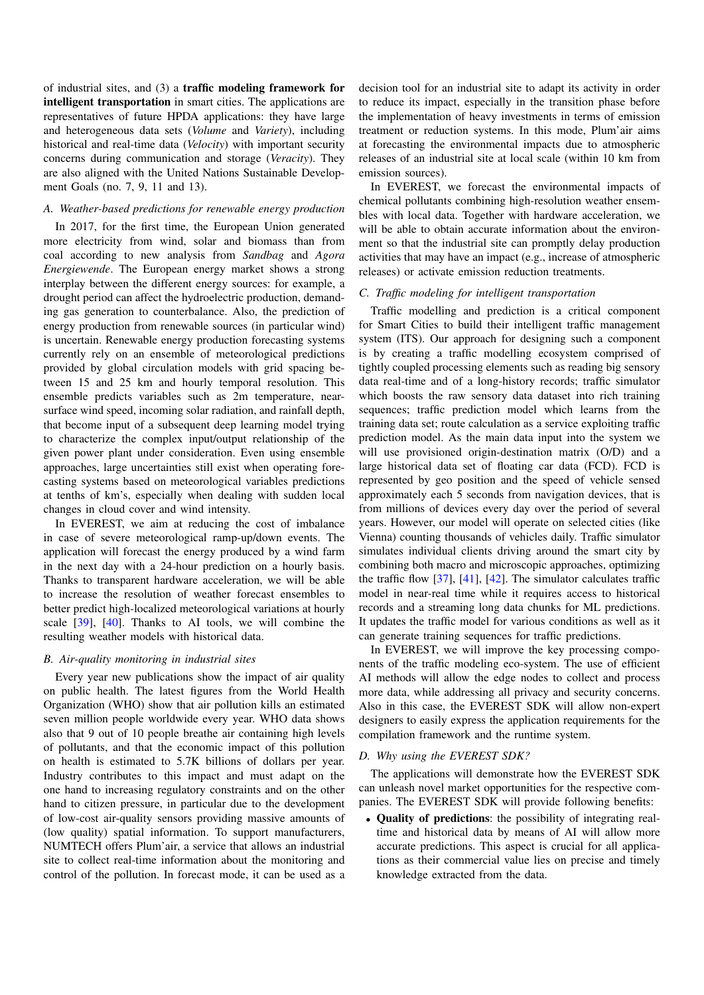of industrial sites, and (3) a traffic modeling framework for intelligent transportation in smart cities. The applications are representatives of future HPDA applications: they have large and heterogeneous data sets (*Volume* and *Variety*), including historical and real-time data (*Velocity*) with important security concerns during communication and storage (*Veracity*). They are also aligned with the United Nations Sustainable Development Goals (no. 7, 9, 11 and 13).

## *A. Weather-based predictions for renewable energy production*

In 2017, for the first time, the European Union generated more electricity from wind, solar and biomass than from coal according to new analysis from *Sandbag* and *Agora Energiewende*. The European energy market shows a strong interplay between the different energy sources: for example, a drought period can affect the hydroelectric production, demanding gas generation to counterbalance. Also, the prediction of energy production from renewable sources (in particular wind) is uncertain. Renewable energy production forecasting systems currently rely on an ensemble of meteorological predictions provided by global circulation models with grid spacing between 15 and 25 km and hourly temporal resolution. This ensemble predicts variables such as 2m temperature, nearsurface wind speed, incoming solar radiation, and rainfall depth, that become input of a subsequent deep learning model trying to characterize the complex input/output relationship of the given power plant under consideration. Even using ensemble approaches, large uncertainties still exist when operating forecasting systems based on meteorological variables predictions at tenths of km's, especially when dealing with sudden local changes in cloud cover and wind intensity.

In EVEREST, we aim at reducing the cost of imbalance in case of severe meteorological ramp-up/down events. The application will forecast the energy produced by a wind farm in the next day with a 24-hour prediction on a hourly basis. Thanks to transparent hardware acceleration, we will be able to increase the resolution of weather forecast ensembles to better predict high-localized meteorological variations at hourly scale [\[39\]](#page-5-38), [\[40\]](#page-5-39). Thanks to AI tools, we will combine the resulting weather models with historical data.

## *B. Air-quality monitoring in industrial sites*

Every year new publications show the impact of air quality on public health. The latest figures from the World Health Organization (WHO) show that air pollution kills an estimated seven million people worldwide every year. WHO data shows also that 9 out of 10 people breathe air containing high levels of pollutants, and that the economic impact of this pollution on health is estimated to 5.7K billions of dollars per year. Industry contributes to this impact and must adapt on the one hand to increasing regulatory constraints and on the other hand to citizen pressure, in particular due to the development of low-cost air-quality sensors providing massive amounts of (low quality) spatial information. To support manufacturers, NUMTECH offers Plum'air, a service that allows an industrial site to collect real-time information about the monitoring and control of the pollution. In forecast mode, it can be used as a

decision tool for an industrial site to adapt its activity in order to reduce its impact, especially in the transition phase before the implementation of heavy investments in terms of emission treatment or reduction systems. In this mode, Plum'air aims at forecasting the environmental impacts due to atmospheric releases of an industrial site at local scale (within 10 km from emission sources).

In EVEREST, we forecast the environmental impacts of chemical pollutants combining high-resolution weather ensembles with local data. Together with hardware acceleration, we will be able to obtain accurate information about the environment so that the industrial site can promptly delay production activities that may have an impact (e.g., increase of atmospheric releases) or activate emission reduction treatments.

## *C. Traffic modeling for intelligent transportation*

Traffic modelling and prediction is a critical component for Smart Cities to build their intelligent traffic management system (ITS). Our approach for designing such a component is by creating a traffic modelling ecosystem comprised of tightly coupled processing elements such as reading big sensory data real-time and of a long-history records; traffic simulator which boosts the raw sensory data dataset into rich training sequences; traffic prediction model which learns from the training data set; route calculation as a service exploiting traffic prediction model. As the main data input into the system we will use provisioned origin-destination matrix (O/D) and a large historical data set of floating car data (FCD). FCD is represented by geo position and the speed of vehicle sensed approximately each 5 seconds from navigation devices, that is from millions of devices every day over the period of several years. However, our model will operate on selected cities (like Vienna) counting thousands of vehicles daily. Traffic simulator simulates individual clients driving around the smart city by combining both macro and microscopic approaches, optimizing the traffic flow [\[37\]](#page-5-36), [\[41\]](#page-5-40), [\[42\]](#page-5-41). The simulator calculates traffic model in near-real time while it requires access to historical records and a streaming long data chunks for ML predictions. It updates the traffic model for various conditions as well as it can generate training sequences for traffic predictions.

In EVEREST, we will improve the key processing components of the traffic modeling eco-system. The use of efficient AI methods will allow the edge nodes to collect and process more data, while addressing all privacy and security concerns. Also in this case, the EVEREST SDK will allow non-expert designers to easily express the application requirements for the compilation framework and the runtime system.

# *D. Why using the EVEREST SDK?*

The applications will demonstrate how the EVEREST SDK can unleash novel market opportunities for the respective companies. The EVEREST SDK will provide following benefits:

• Quality of predictions: the possibility of integrating realtime and historical data by means of AI will allow more accurate predictions. This aspect is crucial for all applications as their commercial value lies on precise and timely knowledge extracted from the data.